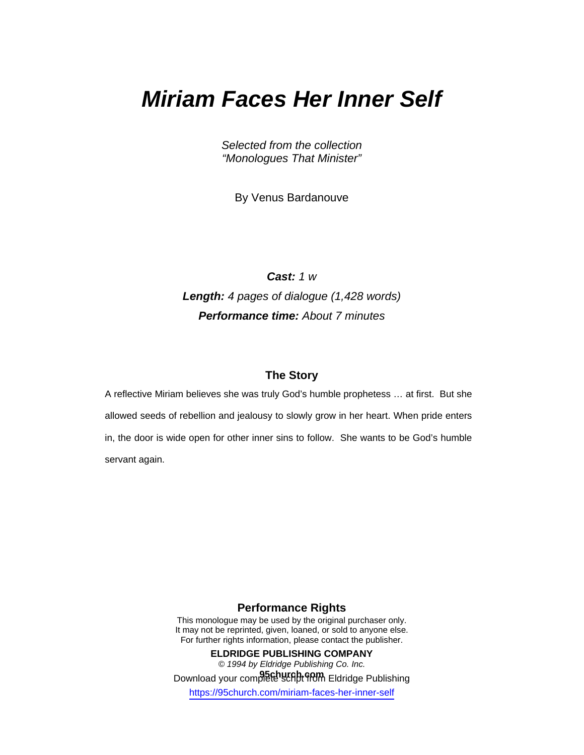# *Miriam Faces Her Inner Self*

*Selected from the collection "Monologues That Minister"* 

By Venus Bardanouve

*Cast: 1 w Length: 4 pages of dialogue (1,428 words) Performance time: About 7 minutes* 

#### **The Story**

A reflective Miriam believes she was truly God's humble prophetess … at first. But she allowed seeds of rebellion and jealousy to slowly grow in her heart. When pride enters in, the door is wide open for other inner sins to follow. She wants to be God's humble servant again.

## **Performance Rights**

This monologue may be used by the original purchaser only. It may not be reprinted, given, loaned, or sold to anyone else. For further rights information, please contact the publisher.

**ELDRIDGE PUBLISHING COMPANY**  *© 1994 by Eldridge Publishing Co. Inc.*  Download your complete script **from** Eldridge Publishing https://95church.com/miriam-faces-her-inner-self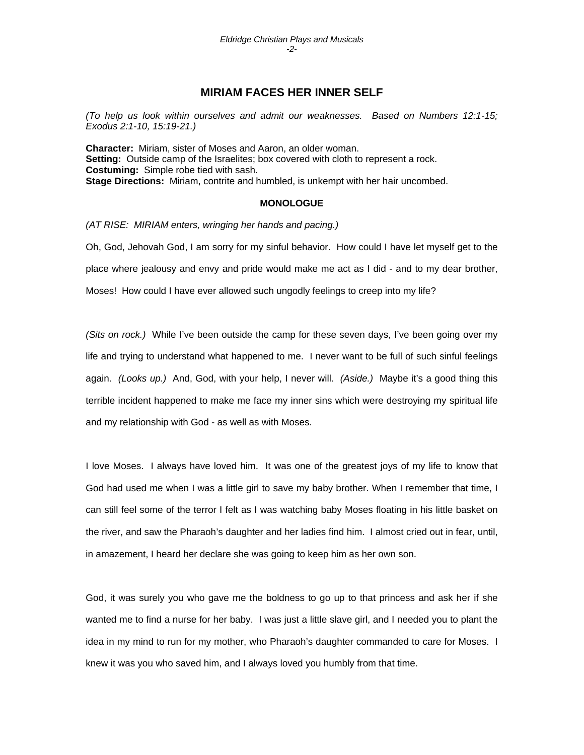### **MIRIAM FACES HER INNER SELF**

*(To help us look within ourselves and admit our weaknesses. Based on Numbers 12:1-15; Exodus 2:1-10, 15:19-21.)* 

**Character:** Miriam, sister of Moses and Aaron, an older woman. **Setting:** Outside camp of the Israelites; box covered with cloth to represent a rock. **Costuming:** Simple robe tied with sash. **Stage Directions:** Miriam, contrite and humbled, is unkempt with her hair uncombed.

#### **MONOLOGUE**

*(AT RISE: MIRIAM enters, wringing her hands and pacing.)*

Oh, God, Jehovah God, I am sorry for my sinful behavior. How could I have let myself get to the place where jealousy and envy and pride would make me act as I did - and to my dear brother, Moses! How could I have ever allowed such ungodly feelings to creep into my life?

*(Sits on rock.)* While I've been outside the camp for these seven days, I've been going over my life and trying to understand what happened to me. I never want to be full of such sinful feelings again. *(Looks up.)* And, God, with your help, I never will. *(Aside.)* Maybe it's a good thing this terrible incident happened to make me face my inner sins which were destroying my spiritual life and my relationship with God - as well as with Moses.

I love Moses. I always have loved him. It was one of the greatest joys of my life to know that God had used me when I was a little girl to save my baby brother. When I remember that time, I can still feel some of the terror I felt as I was watching baby Moses floating in his little basket on the river, and saw the Pharaoh's daughter and her ladies find him. I almost cried out in fear, until, in amazement, I heard her declare she was going to keep him as her own son.

God, it was surely you who gave me the boldness to go up to that princess and ask her if she wanted me to find a nurse for her baby. I was just a little slave girl, and I needed you to plant the idea in my mind to run for my mother, who Pharaoh's daughter commanded to care for Moses. I knew it was you who saved him, and I always loved you humbly from that time.